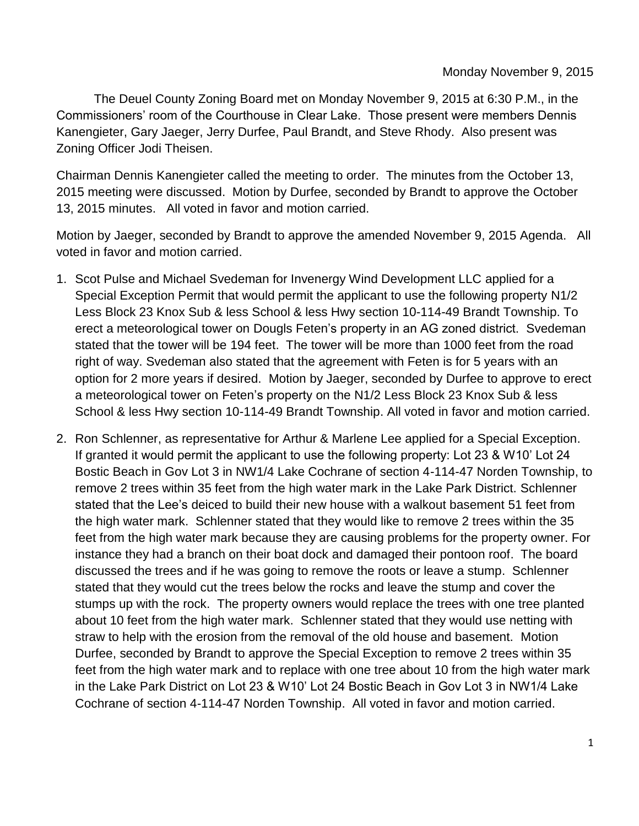The Deuel County Zoning Board met on Monday November 9, 2015 at 6:30 P.M., in the Commissioners' room of the Courthouse in Clear Lake. Those present were members Dennis Kanengieter, Gary Jaeger, Jerry Durfee, Paul Brandt, and Steve Rhody. Also present was Zoning Officer Jodi Theisen.

Chairman Dennis Kanengieter called the meeting to order. The minutes from the October 13, 2015 meeting were discussed. Motion by Durfee, seconded by Brandt to approve the October 13, 2015 minutes. All voted in favor and motion carried.

Motion by Jaeger, seconded by Brandt to approve the amended November 9, 2015 Agenda. All voted in favor and motion carried.

- 1. Scot Pulse and Michael Svedeman for Invenergy Wind Development LLC applied for a Special Exception Permit that would permit the applicant to use the following property N1/2 Less Block 23 Knox Sub & less School & less Hwy section 10-114-49 Brandt Township. To erect a meteorological tower on Dougls Feten's property in an AG zoned district. Svedeman stated that the tower will be 194 feet. The tower will be more than 1000 feet from the road right of way. Svedeman also stated that the agreement with Feten is for 5 years with an option for 2 more years if desired. Motion by Jaeger, seconded by Durfee to approve to erect a meteorological tower on Feten's property on the N1/2 Less Block 23 Knox Sub & less School & less Hwy section 10-114-49 Brandt Township. All voted in favor and motion carried.
- 2. Ron Schlenner, as representative for Arthur & Marlene Lee applied for a Special Exception. If granted it would permit the applicant to use the following property: Lot 23 & W10' Lot 24 Bostic Beach in Gov Lot 3 in NW1/4 Lake Cochrane of section 4-114-47 Norden Township, to remove 2 trees within 35 feet from the high water mark in the Lake Park District. Schlenner stated that the Lee's deiced to build their new house with a walkout basement 51 feet from the high water mark. Schlenner stated that they would like to remove 2 trees within the 35 feet from the high water mark because they are causing problems for the property owner. For instance they had a branch on their boat dock and damaged their pontoon roof. The board discussed the trees and if he was going to remove the roots or leave a stump. Schlenner stated that they would cut the trees below the rocks and leave the stump and cover the stumps up with the rock. The property owners would replace the trees with one tree planted about 10 feet from the high water mark. Schlenner stated that they would use netting with straw to help with the erosion from the removal of the old house and basement. Motion Durfee, seconded by Brandt to approve the Special Exception to remove 2 trees within 35 feet from the high water mark and to replace with one tree about 10 from the high water mark in the Lake Park District on Lot 23 & W10' Lot 24 Bostic Beach in Gov Lot 3 in NW1/4 Lake Cochrane of section 4-114-47 Norden Township. All voted in favor and motion carried.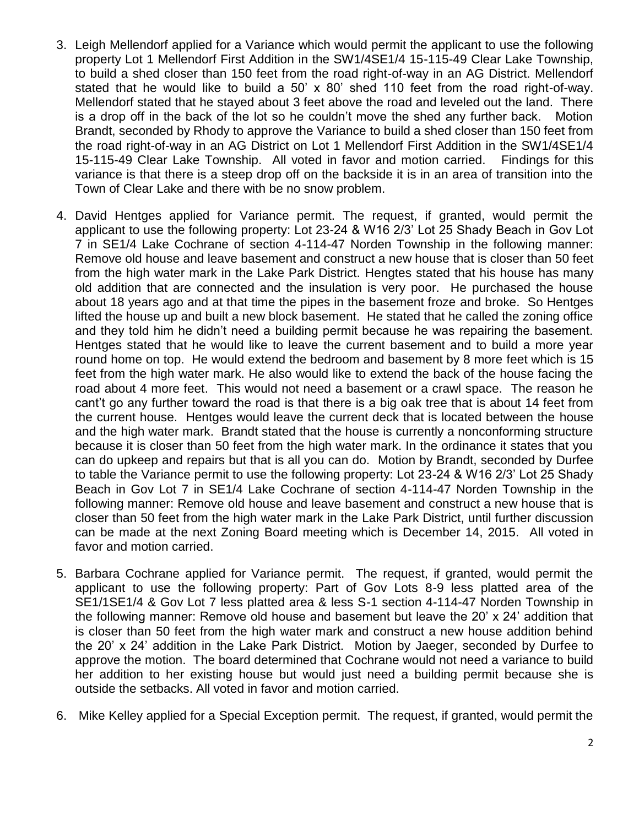- 3. Leigh Mellendorf applied for a Variance which would permit the applicant to use the following property Lot 1 Mellendorf First Addition in the SW1/4SE1/4 15-115-49 Clear Lake Township, to build a shed closer than 150 feet from the road right-of-way in an AG District. Mellendorf stated that he would like to build a 50' x 80' shed 110 feet from the road right-of-way. Mellendorf stated that he stayed about 3 feet above the road and leveled out the land. There is a drop off in the back of the lot so he couldn't move the shed any further back. Motion Brandt, seconded by Rhody to approve the Variance to build a shed closer than 150 feet from the road right-of-way in an AG District on Lot 1 Mellendorf First Addition in the SW1/4SE1/4 15-115-49 Clear Lake Township. All voted in favor and motion carried. Findings for this variance is that there is a steep drop off on the backside it is in an area of transition into the Town of Clear Lake and there with be no snow problem.
- 4. David Hentges applied for Variance permit. The request, if granted, would permit the applicant to use the following property: Lot 23-24 & W16 2/3' Lot 25 Shady Beach in Gov Lot 7 in SE1/4 Lake Cochrane of section 4-114-47 Norden Township in the following manner: Remove old house and leave basement and construct a new house that is closer than 50 feet from the high water mark in the Lake Park District. Hengtes stated that his house has many old addition that are connected and the insulation is very poor. He purchased the house about 18 years ago and at that time the pipes in the basement froze and broke. So Hentges lifted the house up and built a new block basement. He stated that he called the zoning office and they told him he didn't need a building permit because he was repairing the basement. Hentges stated that he would like to leave the current basement and to build a more year round home on top. He would extend the bedroom and basement by 8 more feet which is 15 feet from the high water mark. He also would like to extend the back of the house facing the road about 4 more feet. This would not need a basement or a crawl space. The reason he cant't go any further toward the road is that there is a big oak tree that is about 14 feet from the current house. Hentges would leave the current deck that is located between the house and the high water mark. Brandt stated that the house is currently a nonconforming structure because it is closer than 50 feet from the high water mark. In the ordinance it states that you can do upkeep and repairs but that is all you can do. Motion by Brandt, seconded by Durfee to table the Variance permit to use the following property: Lot 23-24 & W16 2/3' Lot 25 Shady Beach in Gov Lot 7 in SE1/4 Lake Cochrane of section 4-114-47 Norden Township in the following manner: Remove old house and leave basement and construct a new house that is closer than 50 feet from the high water mark in the Lake Park District, until further discussion can be made at the next Zoning Board meeting which is December 14, 2015. All voted in favor and motion carried.
- 5. Barbara Cochrane applied for Variance permit. The request, if granted, would permit the applicant to use the following property: Part of Gov Lots 8-9 less platted area of the SE1/1SE1/4 & Gov Lot 7 less platted area & less S-1 section 4-114-47 Norden Township in the following manner: Remove old house and basement but leave the 20' x 24' addition that is closer than 50 feet from the high water mark and construct a new house addition behind the 20' x 24' addition in the Lake Park District. Motion by Jaeger, seconded by Durfee to approve the motion. The board determined that Cochrane would not need a variance to build her addition to her existing house but would just need a building permit because she is outside the setbacks. All voted in favor and motion carried.
- 6. Mike Kelley applied for a Special Exception permit. The request, if granted, would permit the